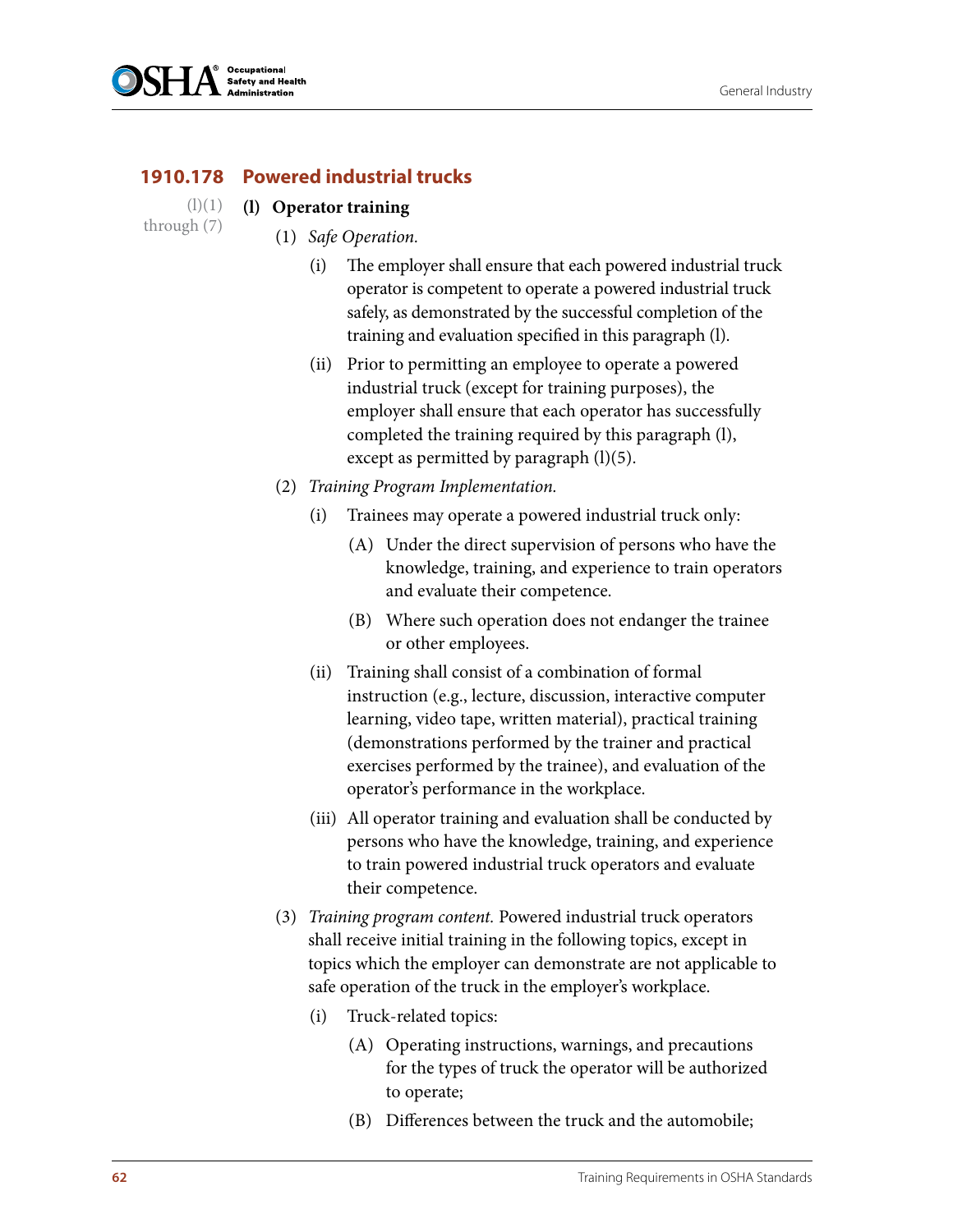

## **1910.178 Powered industrial trucks**

- **(l) Operator training**  $(l)(1)$
- through (7)
- (1) *Safe Operation.* 
	- (i) The employer shall ensure that each powered industrial truck operator is competent to operate a powered industrial truck safely, as demonstrated by the successful completion of the training and evaluation specified in this paragraph (l).
	- (ii) Prior to permitting an employee to operate a powered industrial truck (except for training purposes), the employer shall ensure that each operator has successfully completed the training required by this paragraph (l), except as permitted by paragraph  $(l)(5)$ .
	- (2) *Training Program Implementation.*
		- (i) Trainees may operate a powered industrial truck only:
			- (A) Under the direct supervision of persons who have the knowledge, training, and experience to train operators and evaluate their competence.
			- (B) Where such operation does not endanger the trainee or other employees.
		- (ii) Training shall consist of a combination of formal instruction (e.g., lecture, discussion, interactive computer learning, video tape, written material), practical training (demonstrations performed by the trainer and practical exercises performed by the trainee), and evaluation of the operator's performance in the workplace.
		- (iii) All operator training and evaluation shall be conducted by persons who have the knowledge, training, and experience to train powered industrial truck operators and evaluate their competence.
	- (3) *Training program content.* Powered industrial truck operators shall receive initial training in the following topics, except in topics which the employer can demonstrate are not applicable to safe operation of the truck in the employer's workplace.
		- (i) Truck-related topics:
			- (A) Operating instructions, warnings, and precautions for the types of truck the operator will be authorized to operate;
			- (B) Differences between the truck and the automobile;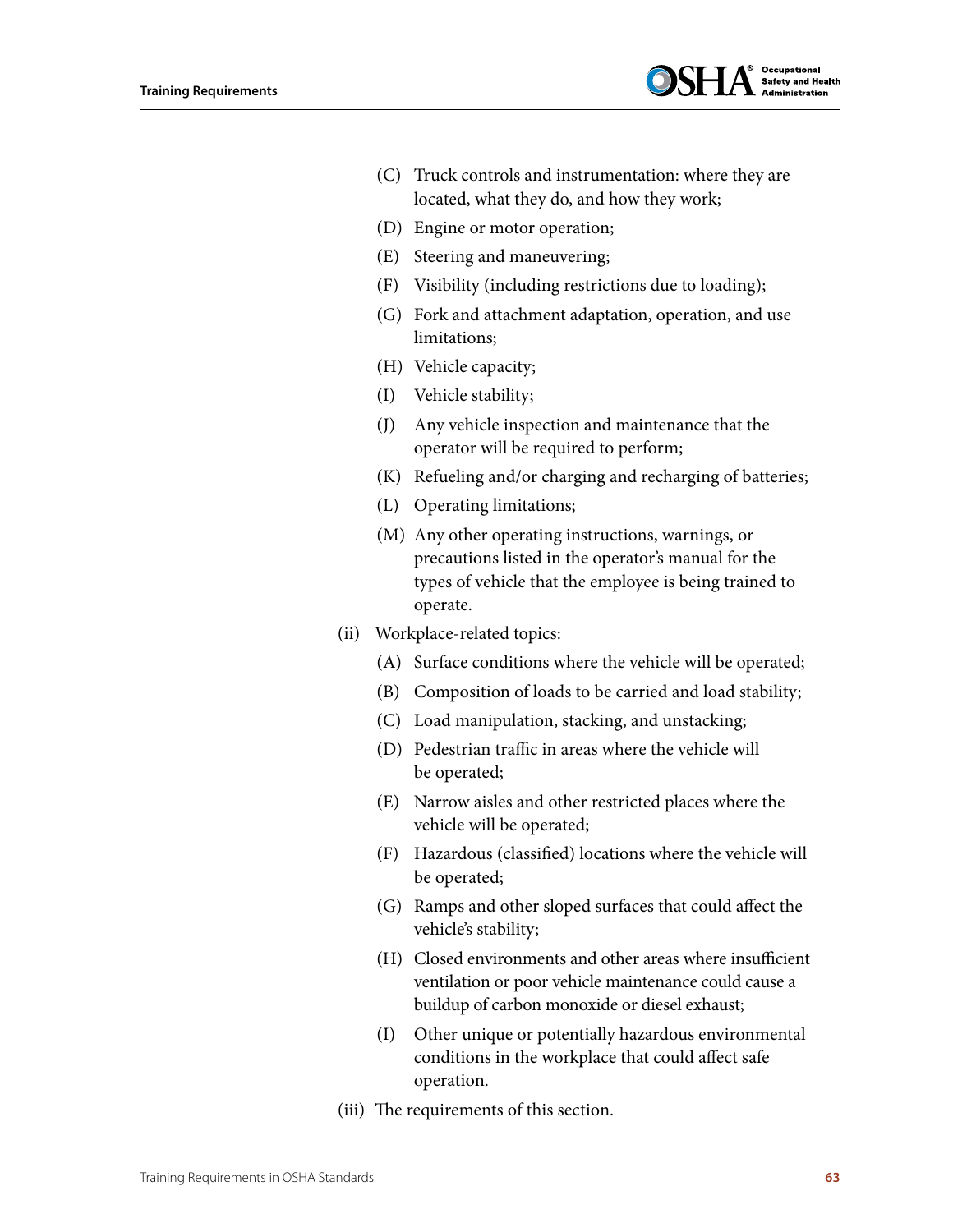

- (C) Truck controls and instrumentation: where they are located, what they do, and how they work;
- (D) Engine or motor operation;
- (E) Steering and maneuvering;
- (F) Visibility (including restrictions due to loading);
- (G) Fork and attachment adaptation, operation, and use limitations;
- (H) Vehicle capacity;
- (I) Vehicle stability;
- (J) Any vehicle inspection and maintenance that the operator will be required to perform;
- (K) Refueling and/or charging and recharging of batteries;
- (L) Operating limitations;
- (M) Any other operating instructions, warnings, or precautions listed in the operator's manual for the types of vehicle that the employee is being trained to operate.
- (ii) Workplace-related topics:
	- (A) Surface conditions where the vehicle will be operated;
	- (B) Composition of loads to be carried and load stability;
	- (C) Load manipulation, stacking, and unstacking;
	- (D) Pedestrian traffic in areas where the vehicle will be operated;
	- (E) Narrow aisles and other restricted places where the vehicle will be operated;
	- (F) Hazardous (classified) locations where the vehicle will be operated;
	- (G) Ramps and other sloped surfaces that could affect the vehicle's stability;
	- (H) Closed environments and other areas where insufficient ventilation or poor vehicle maintenance could cause a buildup of carbon monoxide or diesel exhaust;
	- (I) Other unique or potentially hazardous environmental conditions in the workplace that could affect safe operation.
- (iii) The requirements of this section.